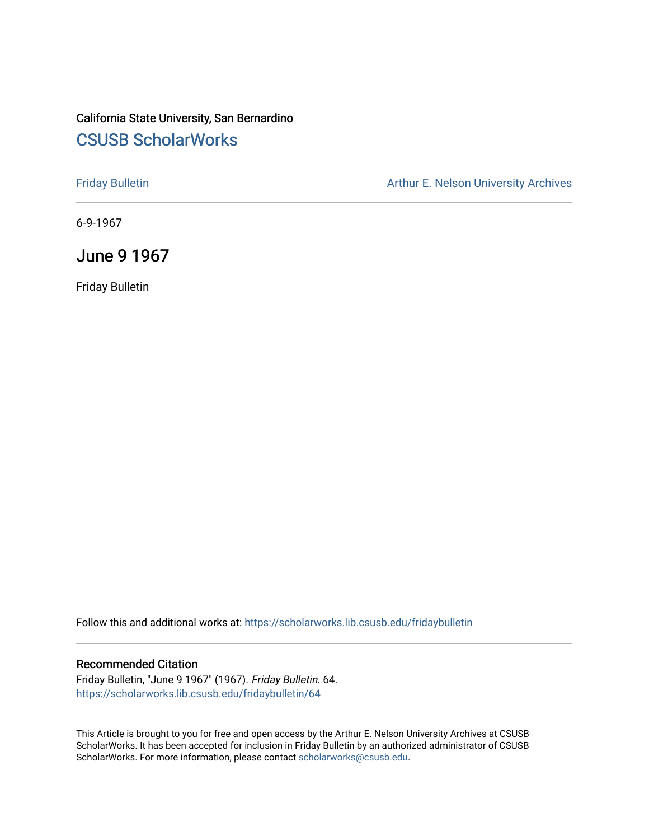### California State University, San Bernardino [CSUSB ScholarWorks](https://scholarworks.lib.csusb.edu/)

[Friday Bulletin](https://scholarworks.lib.csusb.edu/fridaybulletin) **Arthur E. Nelson University Archives** Arthur E. Nelson University Archives

6-9-1967

June 9 1967

Friday Bulletin

Follow this and additional works at: [https://scholarworks.lib.csusb.edu/fridaybulletin](https://scholarworks.lib.csusb.edu/fridaybulletin?utm_source=scholarworks.lib.csusb.edu%2Ffridaybulletin%2F64&utm_medium=PDF&utm_campaign=PDFCoverPages)

#### Recommended Citation

Friday Bulletin, "June 9 1967" (1967). Friday Bulletin. 64. [https://scholarworks.lib.csusb.edu/fridaybulletin/64](https://scholarworks.lib.csusb.edu/fridaybulletin/64?utm_source=scholarworks.lib.csusb.edu%2Ffridaybulletin%2F64&utm_medium=PDF&utm_campaign=PDFCoverPages) 

This Article is brought to you for free and open access by the Arthur E. Nelson University Archives at CSUSB ScholarWorks. It has been accepted for inclusion in Friday Bulletin by an authorized administrator of CSUSB ScholarWorks. For more information, please contact [scholarworks@csusb.edu.](mailto:scholarworks@csusb.edu)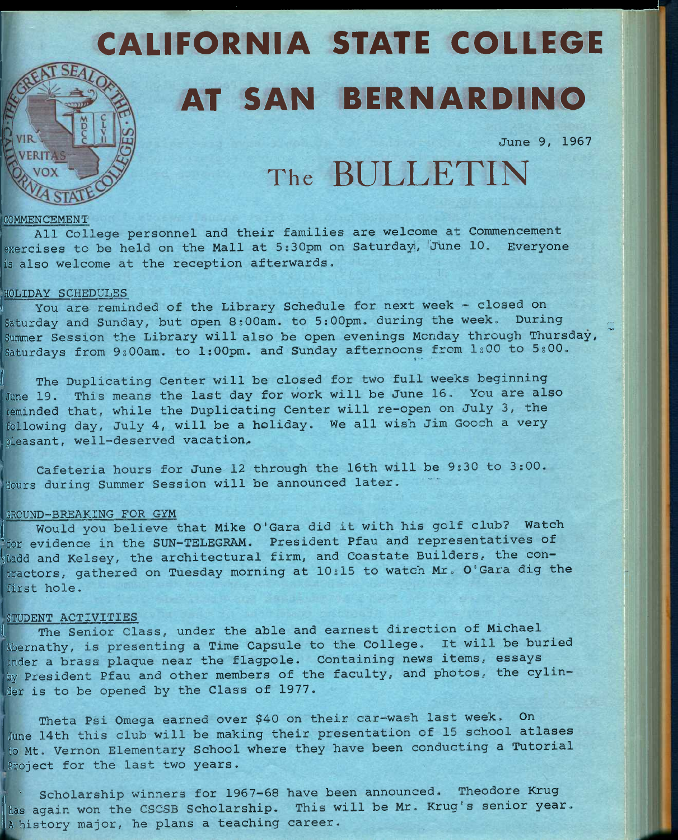# CALIFORNIA STATE COLLEGE AT SAN BERNARDINO

**June 9, 1967** 

## The BULLETIN

#### **COMMENCEMENT**

**All College personnel and their families are welcome at Commencement exercises to be held on the Mall at 5;30pm on Saturday:, 'June 10, Everyone is also welcome at the reception afterwards.** 

#### **HOLIDAY SCHEDULES**

**<sup>1</sup>You are reminded of the Library Schedule for next week - closed on**  Saturday and Sunday, but open 8:00am. to 5:00pm. during the week. During **Summer Session the Library will also be open evenings Monday through Thursday,**  Saturdays from 9:00am. to 1:00pm. and Sunday afternoons from 1:00 to 5:00.

**( The Duplicating Center will be closed for two full weeks beginning June 19, This means the last day for work will be June 16, You are also reminded that, while the Duplicating Center will re-open on July 3, the following day, July 4, will be a holiday. We all wish Jim Gooch a very**  pleasant, well-deserved vacation.

**Cafeteria hours for June 12 through the 16th will be 9s30 to 3:00. Hours during Summer Session will be announced later.** 

#### **GROUND-BREAKING FOR GYM**

<sup>j</sup>**Would you believe that Mike O'Gara did it with his golf club? Watch Tor evidence in the SUN-TELEGRAM, President Pfau and representatives of Uadd and Kelsey, the architectural firm, and Coastate Builders, the contractors, gathered on Tuesday morning at 10s15 to watch Mr, O'Gara dig the first hole.** 

#### **STUDENT ACTIVITIES**

The Senior Class, under the able and earnest direction of Michael **Abernathy, is presenting a Time Capsule to the College, It will be buried under a brass plaque near the flagpole. Containing news items, essays by President Pfau and other members of the faculty, and photos, the cylinder is to be opened by the Class of 1977,** 

**Theta Psi Omega earned over \$40 on their car-wash last week. On June 14th this club will be making their presentation of 15 school atlases to Mt, Vernon Elementary School where they have been conducting a Tutorial Project for the last two years.** 

**<sup>J</sup>' Scholarship winners for 1967-68 have been announced, Theodore Krug**  has again won the CSCSB Scholarship. This will be Mr. Krug's senior year. **IA history major, he plans a teaching career.**